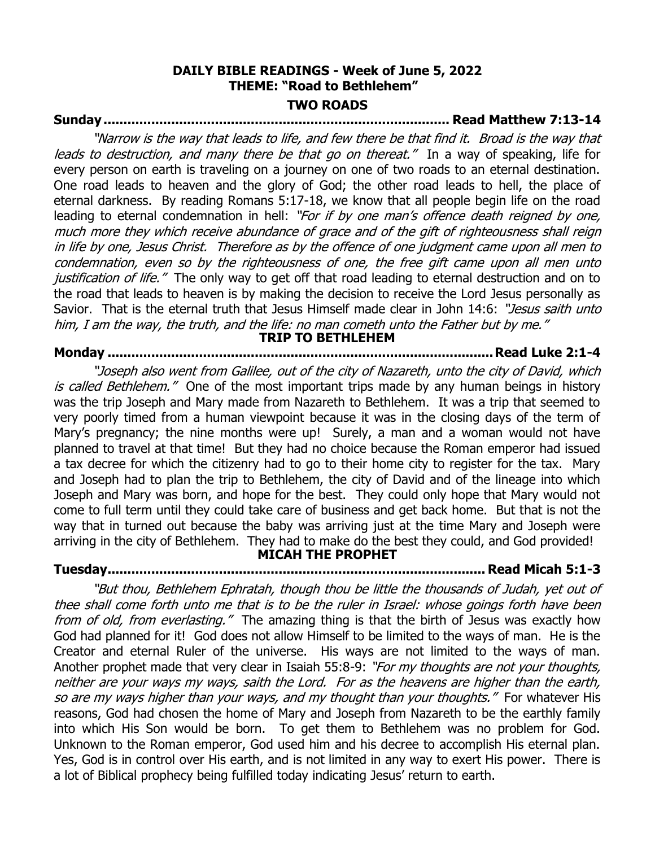# **DAILY BIBLE READINGS - Week of June 5, 2022 THEME: "Road to Bethlehem" TWO ROADS**

# **Sunday ....................................................................................... Read Matthew 7:13-14**

"Narrow is the way that leads to life, and few there be that find it. Broad is the way that leads to destruction, and many there be that go on thereat." In a way of speaking, life for every person on earth is traveling on a journey on one of two roads to an eternal destination. One road leads to heaven and the glory of God; the other road leads to hell, the place of eternal darkness. By reading Romans 5:17-18, we know that all people begin life on the road leading to eternal condemnation in hell: "For if by one man's offence death reigned by one, much more they which receive abundance of grace and of the gift of righteousness shall reign in life by one, Jesus Christ. Therefore as by the offence of one judgment came upon all men to condemnation, even so by the righteousness of one, the free gift came upon all men unto justification of life." The only way to get off that road leading to eternal destruction and on to the road that leads to heaven is by making the decision to receive the Lord Jesus personally as Savior. That is the eternal truth that Jesus Himself made clear in John 14:6: "Jesus saith unto him, I am the way, the truth, and the life: no man cometh unto the Father but by me." **TRIP TO BETHLEHEM**

# **Monday .................................................................................................Read Luke 2:1-4**

"Joseph also went from Galilee, out of the city of Nazareth, unto the city of David, which is called Bethlehem." One of the most important trips made by any human beings in history was the trip Joseph and Mary made from Nazareth to Bethlehem. It was a trip that seemed to very poorly timed from a human viewpoint because it was in the closing days of the term of Mary's pregnancy; the nine months were up! Surely, a man and a woman would not have planned to travel at that time! But they had no choice because the Roman emperor had issued a tax decree for which the citizenry had to go to their home city to register for the tax. Mary and Joseph had to plan the trip to Bethlehem, the city of David and of the lineage into which Joseph and Mary was born, and hope for the best. They could only hope that Mary would not come to full term until they could take care of business and get back home. But that is not the way that in turned out because the baby was arriving just at the time Mary and Joseph were arriving in the city of Bethlehem. They had to make do the best they could, and God provided! **MICAH THE PROPHET**

**Tuesday............................................................................................... Read Micah 5:1-3** 

"But thou, Bethlehem Ephratah, though thou be little the thousands of Judah, yet out of thee shall come forth unto me that is to be the ruler in Israel: whose goings forth have been from of old, from everlasting." The amazing thing is that the birth of Jesus was exactly how God had planned for it! God does not allow Himself to be limited to the ways of man. He is the Creator and eternal Ruler of the universe. His ways are not limited to the ways of man. Another prophet made that very clear in Isaiah 55:8-9: "For my thoughts are not your thoughts, neither are your ways my ways, saith the Lord. For as the heavens are higher than the earth, so are my ways higher than your ways, and my thought than your thoughts." For whatever His reasons, God had chosen the home of Mary and Joseph from Nazareth to be the earthly family into which His Son would be born. To get them to Bethlehem was no problem for God. Unknown to the Roman emperor, God used him and his decree to accomplish His eternal plan. Yes, God is in control over His earth, and is not limited in any way to exert His power. There is a lot of Biblical prophecy being fulfilled today indicating Jesus' return to earth.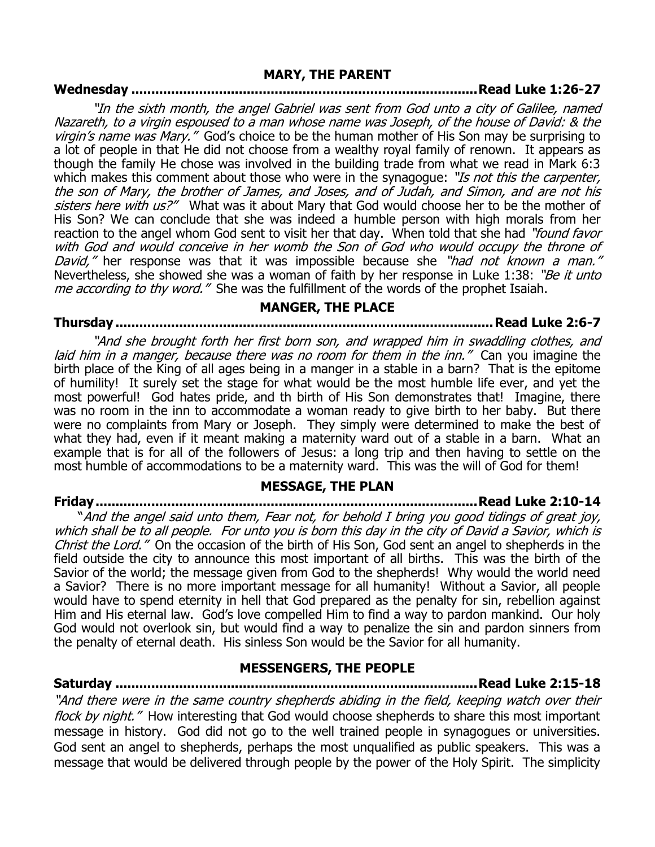#### **MARY, THE PARENT**

# **Wednesday .......................................................................................Read Luke 1:26-27**

"In the sixth month, the angel Gabriel was sent from God unto a city of Galilee, named Nazareth, to a virgin espoused to a man whose name was Joseph, of the house of David: & the virgin's name was Mary." God's choice to be the human mother of His Son may be surprising to a lot of people in that He did not choose from a wealthy royal family of renown. It appears as though the family He chose was involved in the building trade from what we read in Mark 6:3 which makes this comment about those who were in the synagogue: "Is not this the carpenter, the son of Mary, the brother of James, and Joses, and of Judah, and Simon, and are not his sisters here with us?" What was it about Mary that God would choose her to be the mother of His Son? We can conclude that she was indeed a humble person with high morals from her reaction to the angel whom God sent to visit her that day. When told that she had "*found favor* with God and would conceive in her womb the Son of God who would occupy the throne of David," her response was that it was impossible because she "had not known a man." Nevertheless, she showed she was a woman of faith by her response in Luke 1:38: "Be it unto me according to thy word." She was the fulfillment of the words of the prophet Isaiah.

# **MANGER, THE PLACE**

**Thursday ...............................................................................................Read Luke 2:6-7** 

"And she brought forth her first born son, and wrapped him in swaddling clothes, and laid him in a manger, because there was no room for them in the inn." Can you imagine the birth place of the King of all ages being in a manger in a stable in a barn? That is the epitome of humility! It surely set the stage for what would be the most humble life ever, and yet the most powerful! God hates pride, and th birth of His Son demonstrates that! Imagine, there was no room in the inn to accommodate a woman ready to give birth to her baby. But there were no complaints from Mary or Joseph. They simply were determined to make the best of what they had, even if it meant making a maternity ward out of a stable in a barn. What an example that is for all of the followers of Jesus: a long trip and then having to settle on the most humble of accommodations to be a maternity ward. This was the will of God for them!

### **MESSAGE, THE PLAN**

**Friday................................................................................................Read Luke 2:10-14** 

"And the angel said unto them, Fear not, for behold I bring you good tidings of great joy, which shall be to all people. For unto you is born this day in the city of David a Savior, which is Christ the Lord." On the occasion of the birth of His Son, God sent an angel to shepherds in the field outside the city to announce this most important of all births. This was the birth of the Savior of the world; the message given from God to the shepherds! Why would the world need a Savior? There is no more important message for all humanity! Without a Savior, all people would have to spend eternity in hell that God prepared as the penalty for sin, rebellion against Him and His eternal law. God's love compelled Him to find a way to pardon mankind. Our holy God would not overlook sin, but would find a way to penalize the sin and pardon sinners from the penalty of eternal death. His sinless Son would be the Savior for all humanity.

### **MESSENGERS, THE PEOPLE**

**Saturday ...........................................................................................Read Luke 2:15-18** "And there were in the same country shepherds abiding in the field, keeping watch over their flock by night." How interesting that God would choose shepherds to share this most important message in history. God did not go to the well trained people in synagogues or universities. God sent an angel to shepherds, perhaps the most unqualified as public speakers. This was a message that would be delivered through people by the power of the Holy Spirit. The simplicity